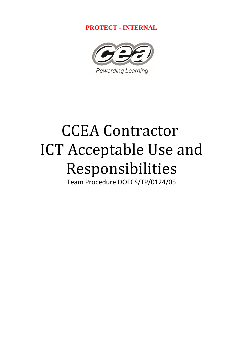**PROTECT - INTERNAL** 



# CCEA Contractor ICT Acceptable Use and Responsibilities

Team Procedure DOFCS/TP/0124/05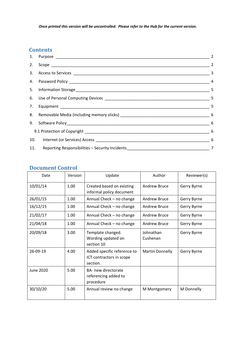*Once printed this version will be uncontrolled. Please refer to the Hub for the current version.*

#### **Contents**

|  | 11. Reporting Responsibilities - Security Incidents_____________________________ | $\overline{7}$ |  |
|--|----------------------------------------------------------------------------------|----------------|--|

#### **Document Control**

| Date             | Version | Update                                                              | Author                 | Reviewer(s) |
|------------------|---------|---------------------------------------------------------------------|------------------------|-------------|
| 10/01/14         | 1.00    | Created based on existing<br>informal policy document               | Andrew Bruce           | Gerry Byrne |
| 26/01/15         | 1.00    | Annual Check - no change                                            | Andrew Bruce           | Gerry Byrne |
| 16/12/15         | 1.00    | Annual Check - no change                                            | Andrew Bruce           | Gerry Byrne |
| 21/02/17         | 1.00    | Annual Check - no change                                            | Andrew Bruce           | Gerry Byrne |
| 21/04/18         | 1.00    | Annual Check - no change                                            | Andrew Bruce           | Gerry Byrne |
| 20/09/18         | 3.00    | Template changed.<br>Wording updated on<br>section 10               | Johnathan<br>Cushenan  | Gerry Byrne |
| 26-09-19         | 4.00    | Added specific reference to<br>ICT contractors in scope<br>section. | <b>Martin Donnelly</b> | Gerry Byrne |
| <b>June 2020</b> | 5.00    | BA- new directorate<br>referencing added to<br>procedure            |                        |             |
| 30/10/20         | 5.00    | Annual review no change                                             | M Montgomery           | M Donnelly  |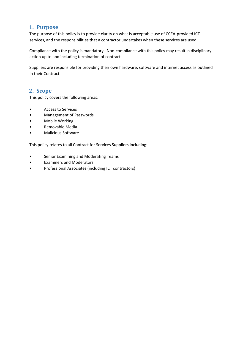#### <span id="page-2-0"></span>**1. Purpose**

The purpose of this policy is to provide clarity on what is acceptable use of CCEA-provided ICT services, and the responsibilities that a contractor undertakes when these services are used.

Compliance with the policy is mandatory. Non-compliance with this policy may result in disciplinary action up to and including termination of contract.

Suppliers are responsible for providing their own hardware, software and internet access as outlined in their Contract.

#### <span id="page-2-1"></span>**2. Scope**

This policy covers the following areas:

- Access to Services
- Management of Passwords
- Mobile Working
- Removable Media
- Malicious Software

This policy relates to all Contract for Services Suppliers including:

- Senior Examining and Moderating Teams
- Examiners and Moderators
- Professional Associates (including ICT contractors)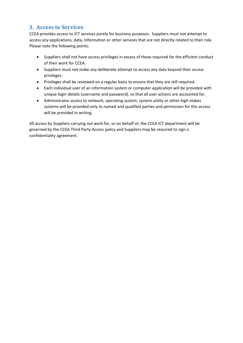#### <span id="page-3-0"></span>**3. Access to Services**

CCEA provides access to ICT services purely for business purposes. Suppliers must not attempt to access any applications, data, information or other services that are not directly related to their role. Please note the following points:

- Suppliers shall not have access privileges in excess of those required for the efficient conduct of their work for CCEA.
- Suppliers must not make any deliberate attempt to access any data beyond their access privileges.
- Privileges shall be reviewed on a regular basis to ensure that they are still required.
- Each individual user of an information system or computer application will be provided with unique login details (username and password), so that all user actions are accounted for.
- Administrator access to network, operating system, system utility or other high-stakes systems will be provided only to named and qualified parties and permission for this access will be provided in writing.

All access by Suppliers carrying out work for, or on behalf of, the CCEA ICT department will be governed by the CCEA Third Party Access policy and Suppliers may be required to sign a confidentiality agreement.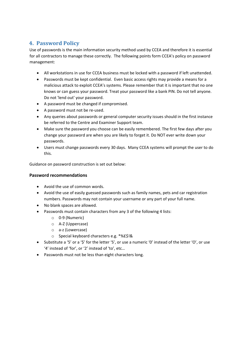#### <span id="page-4-0"></span>**4. Password Policy**

Use of passwords is the main information security method used by CCEA and therefore it is essential for all contractors to manage these correctly. The following points form CCEA's policy on password management:

- All workstations in use for CCEA business must be locked with a password if left unattended.
- Passwords must be kept confidential. Even basic access rights may provide a means for a malicious attack to exploit CCEA's systems. Please remember that it is important that no one knows or can guess your password. Treat your password like a bank PIN. Do not tell anyone. Do not 'lend out' your password.
- A password must be changed if compromised.
- A password must not be re-used.
- Any queries about passwords or general computer security issues should in the first instance be referred to the Centre and Examiner Support team.
- Make sure the password you choose can be easily remembered. The first few days after you change your password are when you are likely to forget it. Do NOT ever write down your passwords.
- Users must change passwords every 30 days. Many CCEA systems will prompt the user to do this.

Guidance on password construction is set out below:

#### **Password recommendations**

- Avoid the use of common words.
- Avoid the use of easily guessed passwords such as family names, pets and car registration numbers. Passwords may not contain your username or any part of your full name.
- No blank spaces are allowed.
- Passwords must contain characters from any 3 of the following 4 lists:
	- o 0-9 (Numeric)
	- o A-Z (Uppercase)
	- o a-z (Lowercase)
	- o Special keyboard characters e.g. \*%£\$!&
- Substitute a '5' or a '\$' for the letter 'S', or use a numeric '0' instead of the letter 'O', or use '4' instead of 'for', or '2' instead of 'to', etc…
- Passwords must not be less than eight characters long.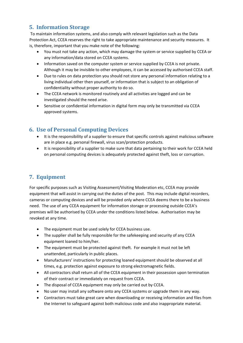# <span id="page-5-0"></span>**5. Information Storage**

To maintain information systems, and also comply with relevant legislation such as the Data Protection Act, CCEA reserves the right to take appropriate maintenance and security measures. It is, therefore, important that you make note of the following:

- You must not take any action, which may damage the system or service supplied by CCEA or any information/data stored on CCEA systems.
- Information saved on the computer system or service supplied by CCEA is not private. Although it may be invisible to other employees, it can be accessed by authorised CCEA staff.
- Due to rules on data protection you should not store any personal information relating to a living individual other then yourself, or information that is subject to an obligation of confidentiality without proper authority to do so.
- The CCEA network is monitored routinely and all activities are logged and can be investigated should the need arise.
- Sensitive or confidential information in digital form may only be transmitted via CCEA approved systems.

# <span id="page-5-1"></span>**6. Use of Personal Computing Devices**

- It is the responsibility of a supplier to ensure that specific controls against malicious software are in place e.g. personal firewall, virus scan/protection products.
- It is responsibility of a supplier to make sure that data pertaining to their work for CCEA held on personal computing devices is adequately protected against theft, loss or corruption.

# <span id="page-5-2"></span>**7. Equipment**

For specific purposes such as Visiting Assessment/Visiting Moderation etc, CCEA may provide equipment that will assist in carrying out the duties of the post. This may include digital recorders, cameras or computing devices and will be provided only where CCEA deems there to be a business need. The use of any CCEA equipment for information storage or processing outside CCEA's premises will be authorised by CCEA under the conditions listed below. Authorisation may be revoked at any time.

- The equipment must be used solely for CCEA business use.
- The supplier shall be fully responsible for the safekeeping and security of any CCEA equipment loaned to him/her.
- The equipment must be protected against theft. For example it must not be left unattended, particularly in public places.
- Manufacturers' instructions for protecting loaned equipment should be observed at all times, e.g. protection against exposure to strong electromagnetic fields.
- All contractors shall return all of the CCEA equipment in their possession upon termination of their contract or immediately on request from CCEA.
- The disposal of CCEA equipment may only be carried out by CCEA.
- No user may install any software onto any CCEA systems or upgrade them in any way.
- Contractors must take great care when downloading or receiving information and files from the Internet to safeguard against both malicious code and also inappropriate material.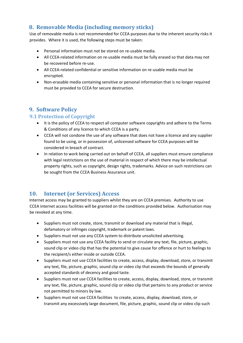#### <span id="page-6-0"></span>**8. Removable Media (including memory sticks)**

Use of removable media is not recommended for CCEA purposes due to the inherent security risks it provides. Where it is used, the following steps must be taken:

- Personal information must not be stored on re-usable media.
- All CCEA-related information on re-usable media must be fully erased so that data may not be recovered before re-use.
- All CCEA-related confidential or sensitive information on re-usable media must be encrypted.
- Non-erasable media containing sensitive or personal information that is no longer required must be provided to CCEA for secure destruction.

# <span id="page-6-1"></span>**9. Software Policy**

#### <span id="page-6-2"></span>**9.1 Protection of Copyright**

- It is the policy of CCEA to respect all computer software copyrights and adhere to the Terms & Conditions of any licence to which CCEA is a party.
- CCEA will not condone the use of any software that does not have a licence and any supplier found to be using, or in possession of, unlicensed software for CCEA purposes will be considered in breach of contract.
- In relation to work being carried out on behalf of CCEA, all suppliers must ensure compliance with legal restrictions on the use of material in respect of which there may be intellectual property rights, such as copyright, design rights, trademarks. Advice on such restrictions can be sought from the CCEA Business Assurance unit.

# <span id="page-6-3"></span>**10. Internet (or Services) Access**

Internet access may be granted to suppliers whilst they are on CCEA premises. Authority to use CCEA internet access facilities will be granted on the conditions provided below. Authorisation may be revoked at any time.

- Suppliers must not create, store, transmit or download any material that is illegal, defamatory or infringes copyright, trademark or patent laws.
- Suppliers must not use any CCEA system to distribute unsolicited advertising.
- Suppliers must not use any CCEA facility to send or circulate any text, file, picture, graphic, sound clip or video clip that has the potential to give cause for offence or hurt to feelings to the recipient/s either inside or outside CCEA.
- Suppliers must not use CCEA facilities to create, access, display, download, store, or transmit any text, file, picture, graphic, sound clip or video clip that exceeds the bounds of generally accepted standards of decency and good taste.
- Suppliers must not use CCEA facilities to create, access, display, download, store, or transmit any text, file, picture, graphic, sound clip or video clip that pertains to any product or service not permitted to minors by law.
- Suppliers must not use CCEA facilities to create, access, display, download, store, or transmit any excessively large document, file, picture, graphic, sound clip or video clip such